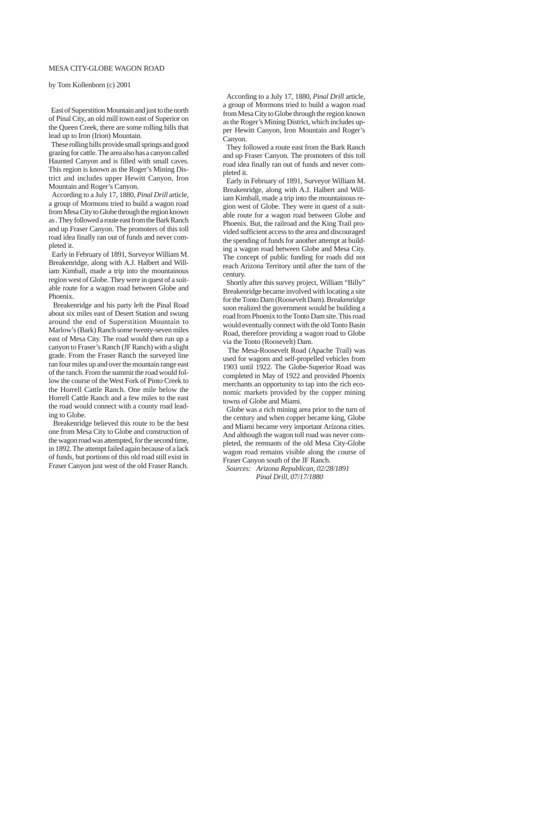According to a July 17, 1880, *Pinal Drill* article, a group of Mormons tried to build a wagon road from Mesa City to Globe through the region known as the Roger's Mining District, which includes upper Hewitt Canyon, Iron Mountain and Roger's Canyon.

 They followed a route east from the Bark Ranch and up Fraser Canyon. The promoters of this toll road idea finally ran out of funds and never completed it.

 Early in February of 1891, Surveyor William M. Breakenridge, along with A.J. Halbert and William Kimball, made a trip into the mountainous region west of Globe. They were in quest of a suitable route for a wagon road between Globe and Phoenix. But, the railroad and the King Trail provided sufficient access to the area and discouraged the spending of funds for another attempt at building a wagon road between Globe and Mesa City. The concept of public funding for roads did not reach Arizona Territory until after the turn of the century.

 Shortly after this survey project, William "Billy" Breakenridge became involved with locating a site for the Tonto Dam (Roosevelt Dam). Breakenridge soon realized the government would be building a road from Phoenix to the Tonto Dam site. This road would eventually connect with the old Tonto Basin Road, therefore providing a wagon road to Globe via the Tonto (Roosevelt) Dam.

 The Mesa-Roosevelt Road (Apache Trail) was used for wagons and self-propelled vehicles from 1903 until 1922. The Globe-Superior Road was completed in May of 1922 and provided Phoenix merchants an opportunity to tap into the rich economic markets provided by the copper mining towns of Globe and Miami.

 Globe was a rich mining area prior to the turn of the century and when copper became king, Globe and Miami became very important Arizona cities. And although the wagon toll road was never completed, the remnants of the old Mesa City-Globe wagon road remains visible along the course of Fraser Canyon south of the JF Ranch.

 *Sources: Arizona Republican, 02/28/1891 Pinal Drill, 07/17/1880*

## MESA CITY-GLOBE WAGON ROAD

by Tom Kollenborn (c) 2001

 East of Superstition Mountain and just to the north of Pinal City, an old mill town east of Superior on the Queen Creek, there are some rolling hills that lead up to Iron (Irion) Mountain.

 These rolling hills provide small springs and good grazing for cattle. The area also has a canyon called Haunted Canyon and is filled with small caves. This region is known as the Roger's Mining District and includes upper Hewitt Canyon, Iron Mountain and Roger's Canyon.

 According to a July 17, 1880, *Pinal Drill* article, a group of Mormons tried to build a wagon road from Mesa City to Globe through the region known as . They followed a route east from the Bark Ranch and up Fraser Canyon. The promoters of this toll road idea finally ran out of funds and never completed it.

 Early in February of 1891, Surveyor William M. Breakenridge, along with A.J. Halbert and William Kimball, made a trip into the mountainous region west of Globe. They were in quest of a suitable route for a wagon road between Globe and Phoenix.

 Breakenridge and his party left the Pinal Road about six miles east of Desert Station and swung around the end of Superstition Mountain to Marlow's (Bark) Ranch some twenty-seven miles east of Mesa City. The road would then run up a canyon to Fraser's Ranch (JF Ranch) with a slight grade. From the Fraser Ranch the surveyed line ran four miles up and over the mountain range east of the ranch. From the summit the road would follow the course of the West Fork of Pinto Creek to the Horrell Cattle Ranch. One mile below the Horrell Cattle Ranch and a few miles to the east the road would connect with a county road leading to Globe.

 Breakenridge believed this route to be the best one from Mesa City to Globe and construction of the wagon road was attempted, for the second time, in 1892. The attempt failed again because of a lack of funds, but portions of this old road still exist in Fraser Canyon just west of the old Fraser Ranch.